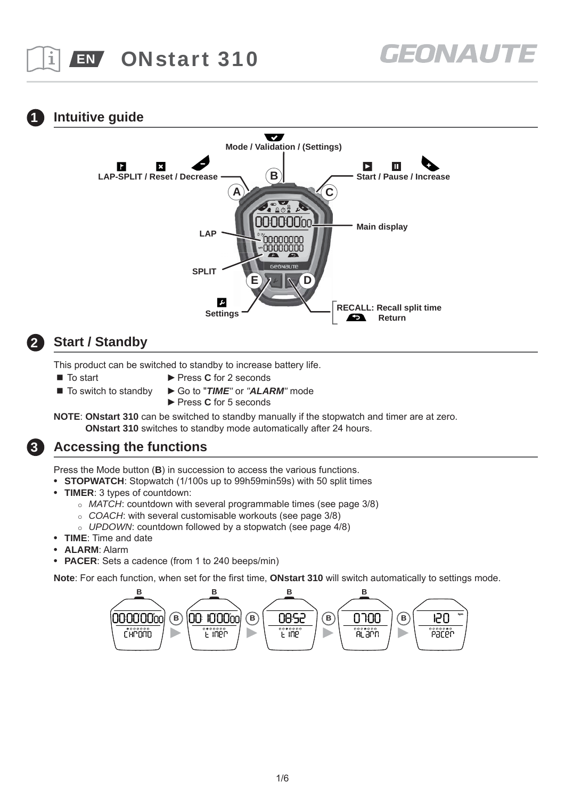## **Intuitive guide**

1



## **Start / Standby**

This product can be switched to standby to increase battery life.

- 
- To start ► Press **C** for 2 seconds
- To switch to standby ►Go to "*TIME"* or *"ALARM"* mode
	- ►Press **C** for 5 seconds

**NOTE**: **ONstart 310** can be switched to standby manually if the stopwatch and timer are at zero. **ONstart 310** switches to standby mode automatically after 24 hours.

## 3

2

## **Accessing the functions**

Press the Mode button (**B**) in succession to access the various functions.

- **STOPWATCH**: Stopwatch (1/100s up to 99h59min59s) with 50 split times
- **TIMER**: 3 types of countdown:
	- *MATCH*: countdown with several programmable times (see page 3/8)
	- *COACH*: with several customisable workouts (see page 3/8)
	- *UPDOWN*: countdown followed by a stopwatch (see page 4/8)
- **TIME**: Time and date
- **ALARM**: Alarm
- **PACER**: Sets a cadence (from 1 to 240 beeps/min)

**Note**: For each function, when set for the first time, **ONstart 310** will switch automatically to settings mode.

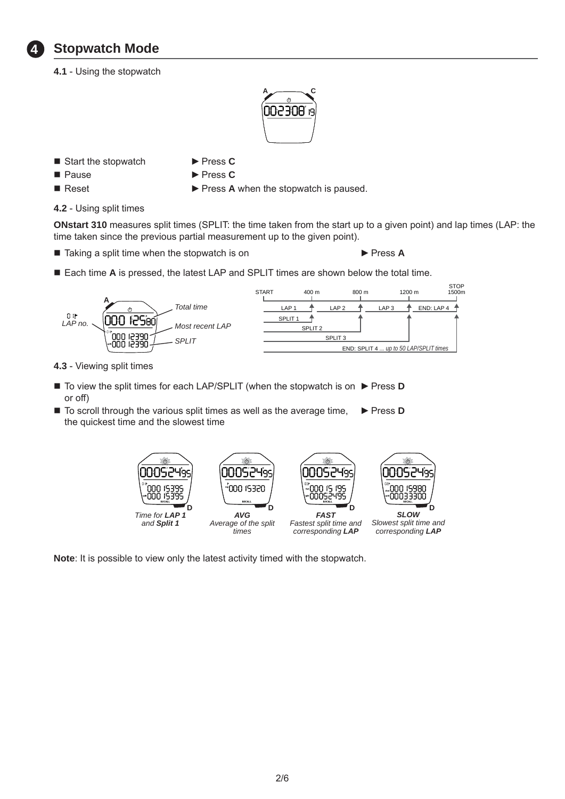

## **Stopwatch Mode**

#### **4.1** - Using the stopwatch



- Start the stopwatch ▶ Press **C**
- Pause ▶ Press **C**
- 

- 
- Reset Press **A** when the stopwatch is paused.
- **4.2**  Using split times

**ONstart 310** measures split times (SPLIT: the time taken from the start up to a given point) and lap times (LAP: the time taken since the previous partial measurement up to the given point).

- Taking a split time when the stopwatch is on ► Press A
- 
- Each time **A** is pressed, the latest LAP and SPLIT times are shown below the total time.



- **4.3**  Viewing split times
- To view the split times for each LAP/SPLIT (when the stopwatch is on ▶ Press **D** or off)
- $\blacksquare$  To scroll through the various split times as well as the average time, the quickest time and the slowest time ►Press **D**



**Note**: It is possible to view only the latest activity timed with the stopwatch.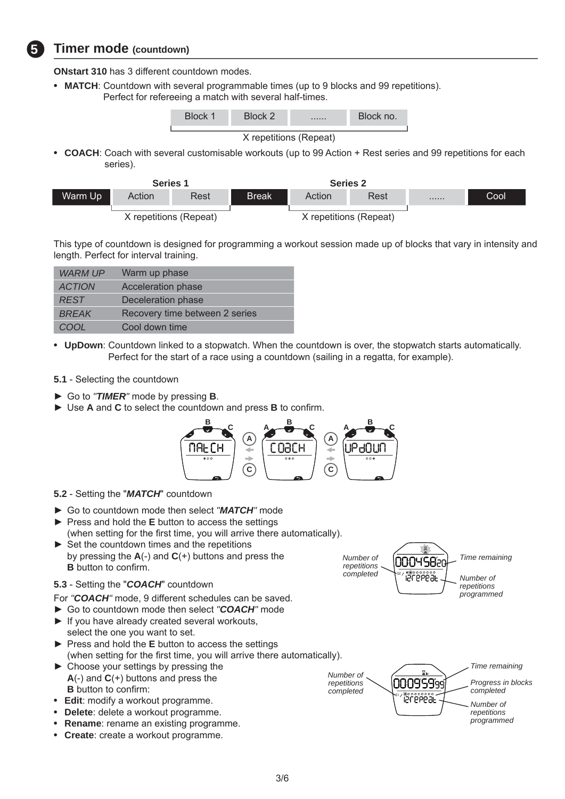

#### **Timer mode (countdown)**

**ONstart 310** has 3 different countdown modes.

**MATCH:** Countdown with several programmable times (up to 9 blocks and 99 repetitions). Perfect for refereeing a match with several half-times.



**• COACH**: Coach with several customisable workouts (up to 99 Action + Rest series and 99 repetitions for each series).



This type of countdown is designed for programming a workout session made up of blocks that vary in intensity and length. Perfect for interval training.

| <b>WARM UP</b> | Warm up phase                  |
|----------------|--------------------------------|
| <b>ACTION</b>  | Acceleration phase             |
| <b>REST</b>    | Deceleration phase             |
| <b>BREAK</b>   | Recovery time between 2 series |
| COOL           | Cool down time                 |

- **UpDown**: Countdown linked to a stopwatch. When the countdown is over, the stopwatch starts automatically. Perfect for the start of a race using a countdown (sailing in a regatta, for example).
- **5.1**  Selecting the countdown
- ► Go to *"TIMER"* mode by pressing **B**.
- ► Use A and C to select the countdown and press **B** to confirm.



#### **5.2** - Setting the "*MATCH*" countdown

- ► Go to countdown mode then select *"MATCH"* mode
- ► Press and hold the **E** button to access the settings (when setting for the first time, you will arrive there automatically).
- ► Set the countdown times and the repetitions by pressing the **A**(-) and **C**(+) buttons and press the **B** button to confirm.

#### **5.3** - Setting the "*COACH*" countdown

For *"COACH"* mode, 9 different schedules can be saved.

- ► Go to countdown mode then select *"COACH"* mode
- ► If you have already created several workouts, select the one you want to set.
- ► Press and hold the **E** button to access the settings (when setting for the first time, you will arrive there automatically).
- ► Choose your settings by pressing the **A**(-) and **C**(+) buttons and press the **B** button to confirm:
- **Edit**: modify a workout programme.
- **Delete**: delete a workout programme.
- **Rename**: rename an existing programme.
- **Create**: create a workout programme.



*Time remaining Number of*  00095999 *Progress in blocks repetitions completed completed* **IPLEbbe** *Number of repetitions programmed*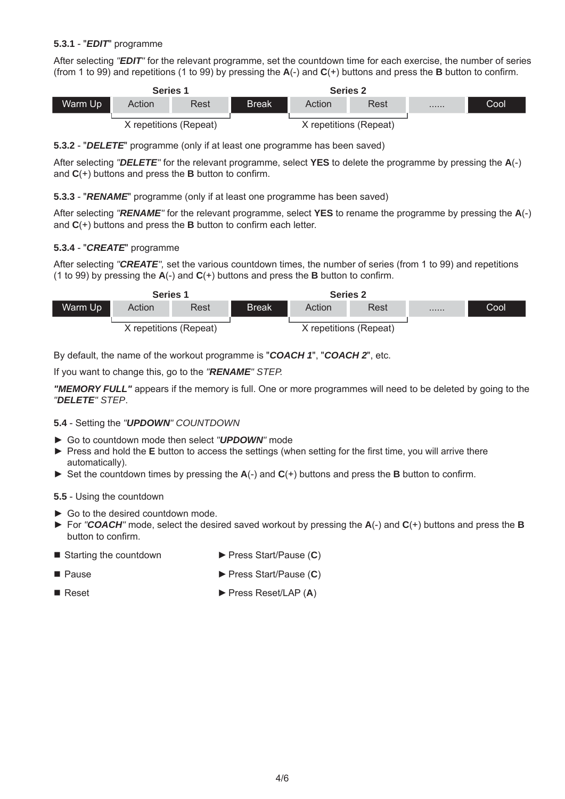#### **5.3.1** - "*EDIT*" programme

After selecting *"EDIT"* for the relevant programme, set the countdown time for each exercise, the number of series (from 1 to 99) and repetitions (1 to 99) by pressing the **A**(-) and **C**(+) buttons and press the **B** button to confirm.



#### **5.3.2** - "*DELETE*" programme (only if at least one programme has been saved)

After selecting *"DELETE"* for the relevant programme, select **YES** to delete the programme by pressing the **A**(-) and **C**(+) buttons and press the **B** button to confirm.

#### **5.3.3** - "*RENAME*" programme (only if at least one programme has been saved)

After selecting *"RENAME"* for the relevant programme, select **YES** to rename the programme by pressing the **A**(-) and **C**(+) buttons and press the **B** button to confirm each letter.

#### **5.3.4** - "*CREATE*" programme

After selecting *"CREATE",* set the various countdown times, the number of series (from 1 to 99) and repetitions (1 to 99) by pressing the **A**(-) and **C**(+) buttons and press the **B** button to confirm.



By default, the name of the workout programme is "*COACH 1*", "*COACH 2*", etc.

If you want to change this, go to the *"RENAME" STEP.*

*"MEMORY FULL"* appears if the memory is full. One or more programmes will need to be deleted by going to the *"DELETE" STEP*.

- **5.4**  Setting the *"UPDOWN" COUNTDOWN*
- ► Go to countdown mode then select *"UPDOWN"* mode
- ► Press and hold the **E** button to access the settings (when setting for the first time, you will arrive there automatically).
- ► Set the countdown times by pressing the  $A($ -) and  $C(+)$  buttons and press the **B** button to confirm.

#### **5.5** - Using the countdown

- ► Go to the desired countdown mode.
- ► For *"COACH"* mode, select the desired saved workout by pressing the **A**(-) and **C**(+) buttons and press the **B** button to confirm.
- Starting the countdown ▶ Press Start/Pause (**C**)
	-

- 
- Pause ► Press Start/Pause (**C**)
- 
- Reset **►Press Reset/LAP (A)**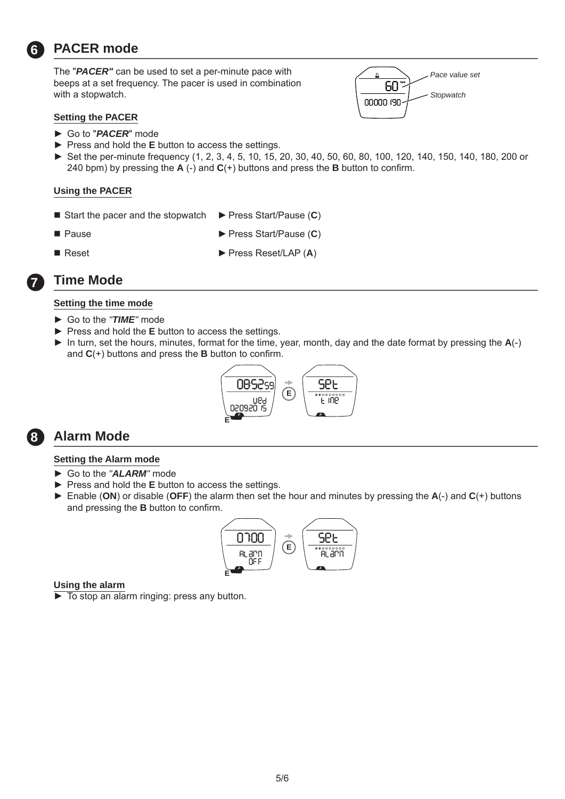

## **PACER mode**

The "*PACER"* can be used to set a per-minute pace with beeps at a set frequency. The pacer is used in combination with a stopwatch.

#### **Setting the PACER**

- ► Go to "*PACER*" mode
- ► Press and hold the **E** button to access the settings.
- ► Set the per-minute frequency (1, 2, 3, 4, 5, 10, 15, 20, 30, 40, 50, 60, 80, 100, 120, 140, 150, 140, 180, 200 or 240 bpm) by pressing the  $A$  (-) and  $C$ (+) buttons and press the **B** button to confirm.

#### **Using the PACER**

- Start the pacer and the stopwatch ▶ Press Start/Pause (**C**)
- 
- Pause Pause **■** Press Start/Pause (**C**)
- Reset **► Press Reset/LAP (A)**
- 

**Time Mode**

#### **Setting the time mode**

- ► Go to the *"TIME"* mode
- ► Press and hold the **E** button to access the settings.
- ► In turn, set the hours, minutes, format for the time, year, month, day and the date format by pressing the **A**(-) and  $C$ (+) buttons and press the **B** button to confirm.



## 8

7

#### **Setting the Alarm mode**

**Alarm Mode**

- ► Go to the *"ALARM"* mode
- ► Press and hold the **E** button to access the settings.
- ► Enable (**ON**) or disable (**OFF**) the alarm then set the hour and minutes by pressing the **A**(-) and **C**(+) buttons and pressing the **B** button to confirm.



#### **Using the alarm**

► To stop an alarm ringing: press any button.